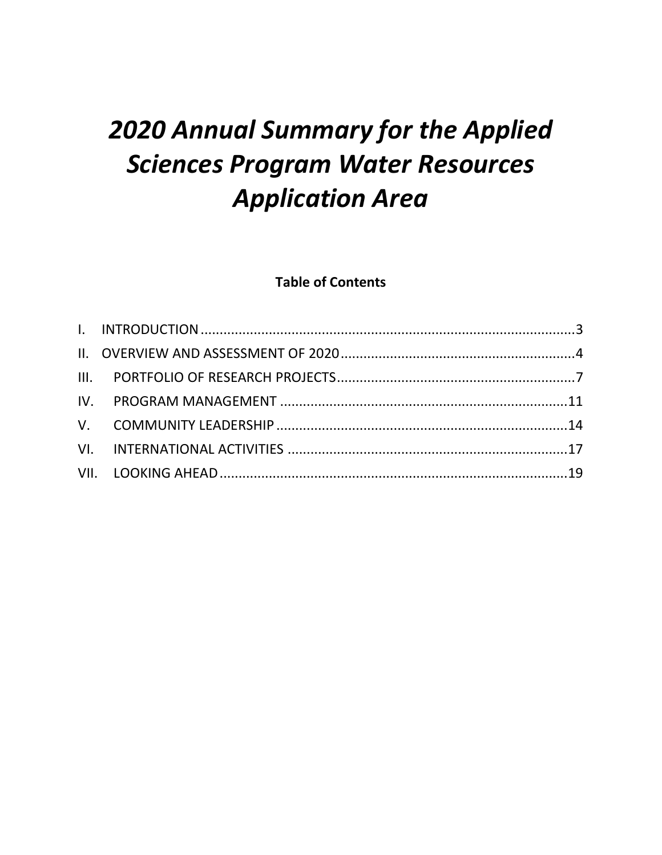# *2020 Annual Summary for the Applied Sciences Program Water Resources Application Area*

**Table of Contents**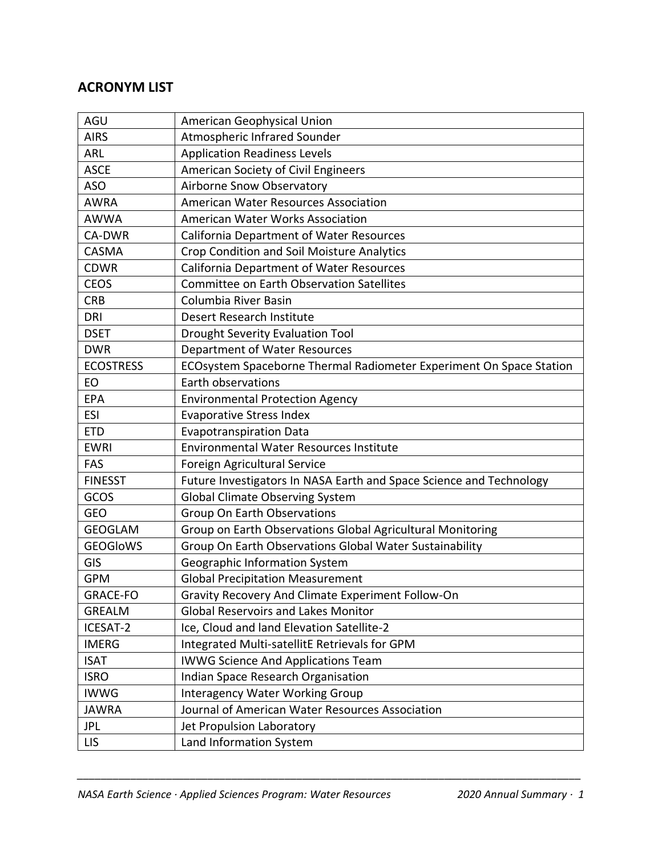#### **ACRONYM LIST**

| AGU              | American Geophysical Union                                          |  |  |
|------------------|---------------------------------------------------------------------|--|--|
| <b>AIRS</b>      | Atmospheric Infrared Sounder                                        |  |  |
| ARL              | <b>Application Readiness Levels</b>                                 |  |  |
| <b>ASCE</b>      | American Society of Civil Engineers                                 |  |  |
| <b>ASO</b>       | Airborne Snow Observatory                                           |  |  |
| <b>AWRA</b>      | American Water Resources Association                                |  |  |
| <b>AWWA</b>      | American Water Works Association                                    |  |  |
| CA-DWR           | <b>California Department of Water Resources</b>                     |  |  |
| <b>CASMA</b>     | Crop Condition and Soil Moisture Analytics                          |  |  |
| <b>CDWR</b>      | <b>California Department of Water Resources</b>                     |  |  |
| <b>CEOS</b>      | <b>Committee on Earth Observation Satellites</b>                    |  |  |
| <b>CRB</b>       | Columbia River Basin                                                |  |  |
| <b>DRI</b>       | Desert Research Institute                                           |  |  |
| <b>DSET</b>      | <b>Drought Severity Evaluation Tool</b>                             |  |  |
| <b>DWR</b>       | Department of Water Resources                                       |  |  |
| <b>ECOSTRESS</b> | ECOsystem Spaceborne Thermal Radiometer Experiment On Space Station |  |  |
| EO               | Earth observations                                                  |  |  |
| <b>EPA</b>       | <b>Environmental Protection Agency</b>                              |  |  |
| <b>ESI</b>       | <b>Evaporative Stress Index</b>                                     |  |  |
| <b>ETD</b>       | <b>Evapotranspiration Data</b>                                      |  |  |
| <b>EWRI</b>      | <b>Environmental Water Resources Institute</b>                      |  |  |
| FAS              | Foreign Agricultural Service                                        |  |  |
| <b>FINESST</b>   | Future Investigators In NASA Earth and Space Science and Technology |  |  |
| GCOS             | <b>Global Climate Observing System</b>                              |  |  |
| <b>GEO</b>       | Group On Earth Observations                                         |  |  |
| <b>GEOGLAM</b>   | Group on Earth Observations Global Agricultural Monitoring          |  |  |
| <b>GEOGIOWS</b>  | Group On Earth Observations Global Water Sustainability             |  |  |
| GIS              | Geographic Information System                                       |  |  |
| <b>GPM</b>       | <b>Global Precipitation Measurement</b>                             |  |  |
| GRACE-FO         | Gravity Recovery And Climate Experiment Follow-On                   |  |  |
| <b>GREALM</b>    | <b>Global Reservoirs and Lakes Monitor</b>                          |  |  |
| ICESAT-2         | Ice, Cloud and land Elevation Satellite-2                           |  |  |
| <b>IMERG</b>     | Integrated Multi-satellitE Retrievals for GPM                       |  |  |
| <b>ISAT</b>      | <b>IWWG Science And Applications Team</b>                           |  |  |
| <b>ISRO</b>      | Indian Space Research Organisation                                  |  |  |
| <b>IWWG</b>      | <b>Interagency Water Working Group</b>                              |  |  |
| <b>JAWRA</b>     | Journal of American Water Resources Association                     |  |  |
| <b>JPL</b>       | Jet Propulsion Laboratory                                           |  |  |
| <b>LIS</b>       | Land Information System                                             |  |  |
|                  |                                                                     |  |  |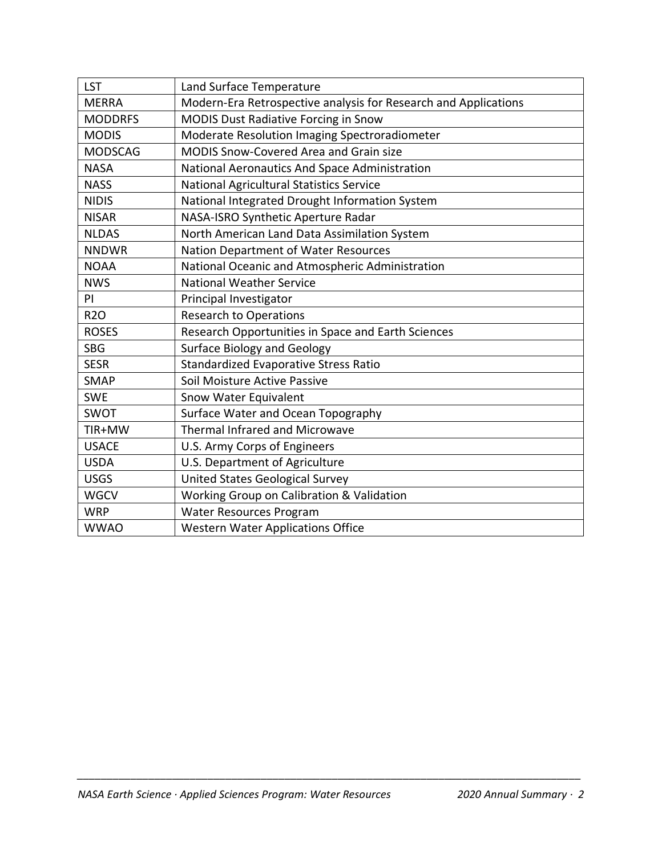| <b>LST</b>     | Land Surface Temperature                                        |  |  |
|----------------|-----------------------------------------------------------------|--|--|
| <b>MERRA</b>   | Modern-Era Retrospective analysis for Research and Applications |  |  |
| <b>MODDRFS</b> | MODIS Dust Radiative Forcing in Snow                            |  |  |
| <b>MODIS</b>   | Moderate Resolution Imaging Spectroradiometer                   |  |  |
| <b>MODSCAG</b> | <b>MODIS Snow-Covered Area and Grain size</b>                   |  |  |
| <b>NASA</b>    | National Aeronautics And Space Administration                   |  |  |
| <b>NASS</b>    | National Agricultural Statistics Service                        |  |  |
| <b>NIDIS</b>   | National Integrated Drought Information System                  |  |  |
| <b>NISAR</b>   | NASA-ISRO Synthetic Aperture Radar                              |  |  |
| <b>NLDAS</b>   | North American Land Data Assimilation System                    |  |  |
| <b>NNDWR</b>   | Nation Department of Water Resources                            |  |  |
| <b>NOAA</b>    | National Oceanic and Atmospheric Administration                 |  |  |
| <b>NWS</b>     | <b>National Weather Service</b>                                 |  |  |
| PI             | Principal Investigator                                          |  |  |
| <b>R2O</b>     | <b>Research to Operations</b>                                   |  |  |
| <b>ROSES</b>   | Research Opportunities in Space and Earth Sciences              |  |  |
| <b>SBG</b>     | <b>Surface Biology and Geology</b>                              |  |  |
| <b>SESR</b>    | Standardized Evaporative Stress Ratio                           |  |  |
| <b>SMAP</b>    | Soil Moisture Active Passive                                    |  |  |
| <b>SWE</b>     | Snow Water Equivalent                                           |  |  |
| SWOT           | Surface Water and Ocean Topography                              |  |  |
| TIR+MW         | <b>Thermal Infrared and Microwave</b>                           |  |  |
| <b>USACE</b>   | U.S. Army Corps of Engineers                                    |  |  |
| <b>USDA</b>    | U.S. Department of Agriculture                                  |  |  |
| <b>USGS</b>    | <b>United States Geological Survey</b>                          |  |  |
| <b>WGCV</b>    | Working Group on Calibration & Validation                       |  |  |
| <b>WRP</b>     | Water Resources Program                                         |  |  |
| <b>WWAO</b>    | <b>Western Water Applications Office</b>                        |  |  |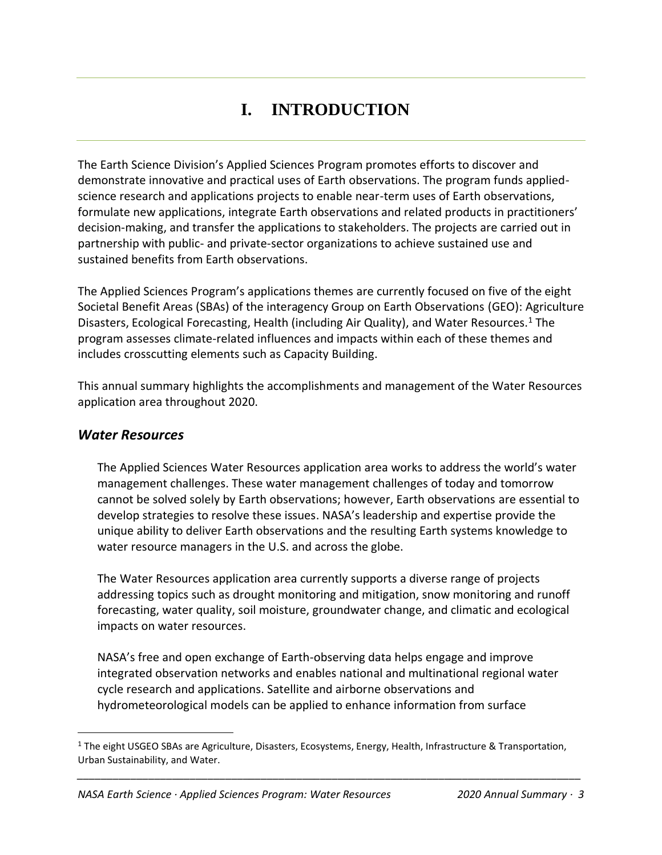## **I. INTRODUCTION**

<span id="page-4-0"></span>The Earth Science Division's Applied Sciences Program promotes efforts to discover and demonstrate innovative and practical uses of Earth observations. The program funds appliedscience research and applications projects to enable near-term uses of Earth observations, formulate new applications, integrate Earth observations and related products in practitioners' decision-making, and transfer the applications to stakeholders. The projects are carried out in partnership with public- and private-sector organizations to achieve sustained use and sustained benefits from Earth observations.

The Applied Sciences Program's applications themes are currently focused on five of the eight Societal Benefit Areas (SBAs) of the interagency Group on Earth Observations (GEO): Agriculture Disasters, Ecological Forecasting, Health (including Air Quality), and Water Resources.<sup>1</sup> The program assesses climate-related influences and impacts within each of these themes and includes crosscutting elements such as Capacity Building.

This annual summary highlights the accomplishments and management of the Water Resources application area throughout 2020.

#### *Water Resources*

The Applied Sciences Water Resources application area works to address the world's water management challenges. These water management challenges of today and tomorrow cannot be solved solely by Earth observations; however, Earth observations are essential to develop strategies to resolve these issues. NASA's leadership and expertise provide the unique ability to deliver Earth observations and the resulting Earth systems knowledge to water resource managers in the U.S. and across the globe.

The Water Resources application area currently supports a diverse range of projects addressing topics such as drought monitoring and mitigation, snow monitoring and runoff forecasting, water quality, soil moisture, groundwater change, and climatic and ecological impacts on water resources.

NASA's free and open exchange of Earth-observing data helps engage and improve integrated observation networks and enables national and multinational regional water cycle research and applications. Satellite and airborne observations and hydrometeorological models can be applied to enhance information from surface

 $1$  The eight USGEO SBAs are Agriculture, Disasters, Ecosystems, Energy, Health, Infrastructure & Transportation, Urban Sustainability, and Water.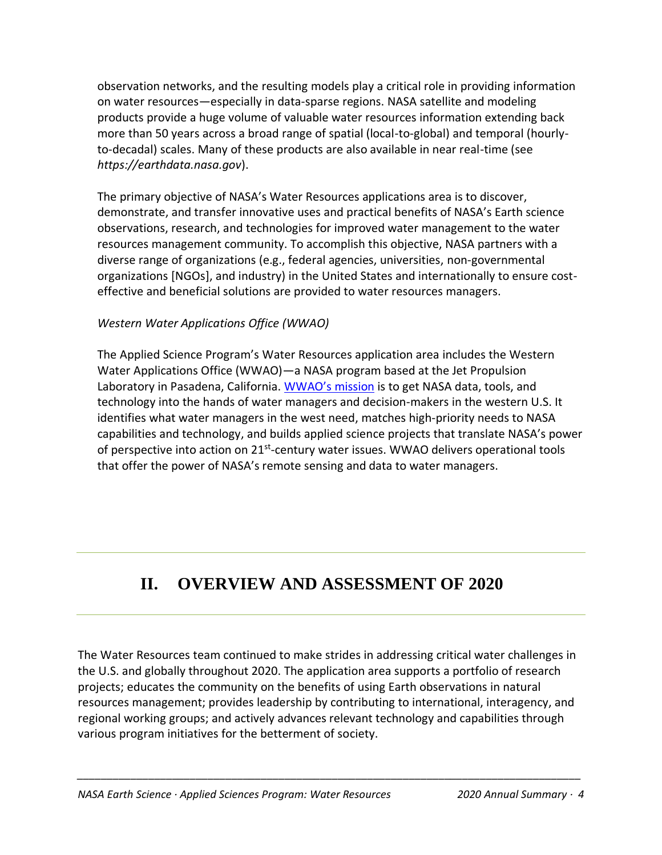observation networks, and the resulting models play a critical role in providing information on water resources—especially in data-sparse regions. NASA satellite and modeling products provide a huge volume of valuable water resources information extending back more than 50 years across a broad range of spatial (local-to-global) and temporal (hourlyto-decadal) scales. Many of these products are also available in near real-time (see *[https://earthdata.nasa.gov](https://earthdata.nasa.gov/)*).

The primary objective of NASA's Water Resources applications area is to discover, demonstrate, and transfer innovative uses and practical benefits of NASA's Earth science observations, research, and technologies for improved water management to the water resources management community. To accomplish this objective, NASA partners with a diverse range of organizations (e.g., federal agencies, universities, non-governmental organizations [NGOs], and industry) in the United States and internationally to ensure costeffective and beneficial solutions are provided to water resources managers.

#### *Western Water Applications Office (WWAO)*

The Applied Science Program's Water Resources application area includes the Western Water Applications Office (WWAO)—a NASA program based at the Jet Propulsion Laboratory in Pasadena, California. [WWAO's mission](https://wwao.jpl.nasa.gov/about/mission/) is to get NASA data, tools, and technology into the hands of water managers and decision-makers in the western U.S. It identifies what water managers in the west need, matches high-priority needs to NASA capabilities and technology, and builds applied science projects that translate NASA's power of perspective into action on 21<sup>st</sup>-century water issues. WWAO delivers operational tools that offer the power of NASA's remote sensing and data to water managers.

### <span id="page-5-0"></span>**II. OVERVIEW AND ASSESSMENT OF 2020**

The Water Resources team continued to make strides in addressing critical water challenges in the U.S. and globally throughout 2020. The application area supports a portfolio of research projects; educates the community on the benefits of using Earth observations in natural resources management; provides leadership by contributing to international, interagency, and regional working groups; and actively advances relevant technology and capabilities through various program initiatives for the betterment of society.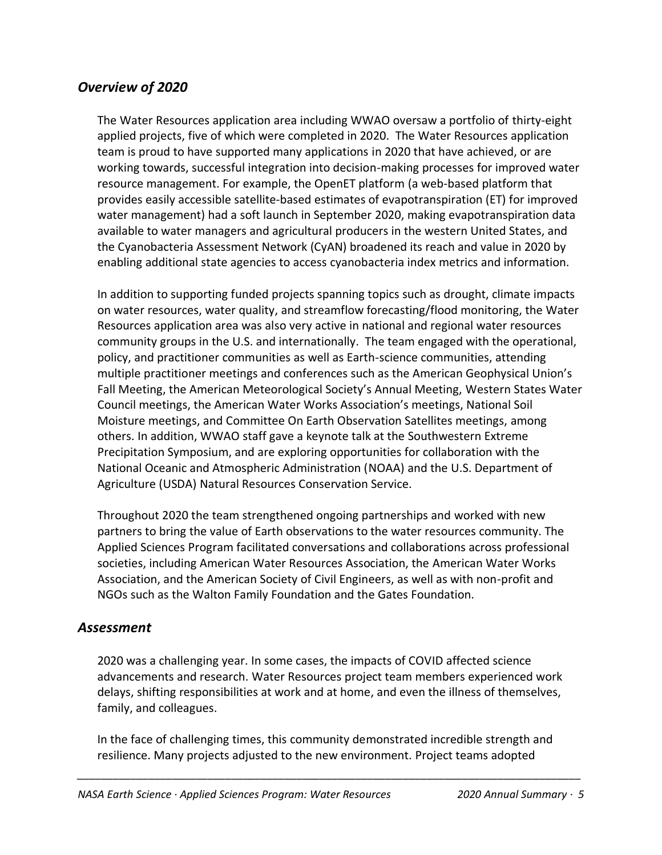#### *Overview of 2020*

The Water Resources application area including WWAO oversaw a portfolio of thirty-eight applied projects, five of which were completed in 2020. The Water Resources application team is proud to have supported many applications in 2020 that have achieved, or are working towards, successful integration into decision-making processes for improved water resource management. For example, the OpenET platform (a web-based platform that provides easily accessible satellite-based estimates of evapotranspiration (ET) for improved water management) had a soft launch in September 2020, making evapotranspiration data available to water managers and agricultural producers in the western United States, and the Cyanobacteria Assessment Network (CyAN) broadened its reach and value in 2020 by enabling additional state agencies to access cyanobacteria index metrics and information.

In addition to supporting funded projects spanning topics such as drought, climate impacts on water resources, water quality, and streamflow forecasting/flood monitoring, the Water Resources application area was also very active in national and regional water resources community groups in the U.S. and internationally. The team engaged with the operational, policy, and practitioner communities as well as Earth-science communities, attending multiple practitioner meetings and conferences such as the American Geophysical Union's Fall Meeting, the American Meteorological Society's Annual Meeting, Western States Water Council meetings, the American Water Works Association's meetings, National Soil Moisture meetings, and Committee On Earth Observation Satellites meetings, among others. In addition, WWAO staff gave a keynote talk at the Southwestern Extreme Precipitation Symposium, and are exploring opportunities for collaboration with the National Oceanic and Atmospheric Administration (NOAA) and the U.S. Department of Agriculture (USDA) Natural Resources Conservation Service.

Throughout 2020 the team strengthened ongoing partnerships and worked with new partners to bring the value of Earth observations to the water resources community. The Applied Sciences Program facilitated conversations and collaborations across professional societies, including American Water Resources Association, the American Water Works Association, and the American Society of Civil Engineers, as well as with non-profit and NGOs such as the Walton Family Foundation and the Gates Foundation.

#### *Assessment*

2020 was a challenging year. In some cases, the impacts of COVID affected science advancements and research. Water Resources project team members experienced work delays, shifting responsibilities at work and at home, and even the illness of themselves, family, and colleagues.

In the face of challenging times, this community demonstrated incredible strength and resilience. Many projects adjusted to the new environment. Project teams adopted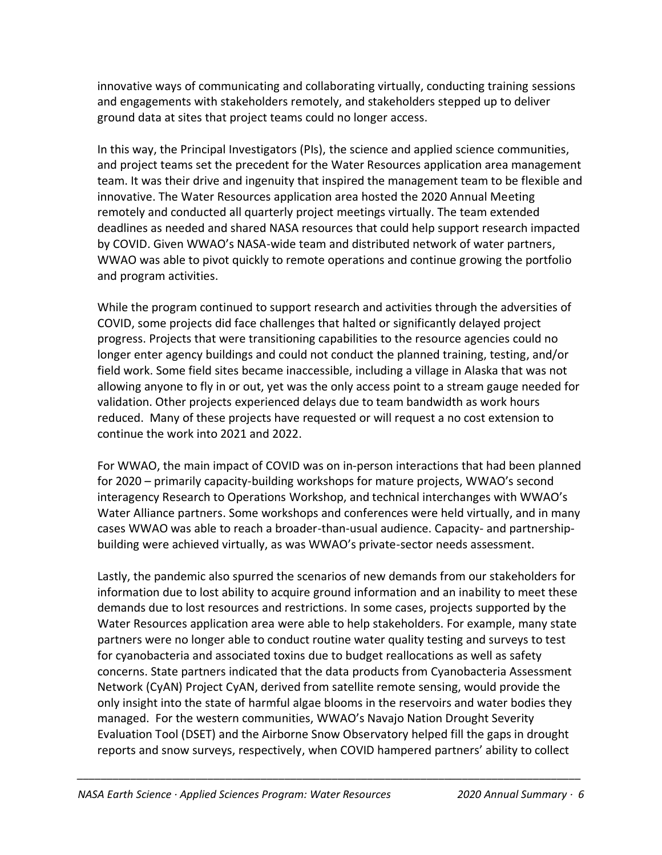innovative ways of communicating and collaborating virtually, conducting training sessions and engagements with stakeholders remotely, and stakeholders stepped up to deliver ground data at sites that project teams could no longer access.

In this way, the Principal Investigators (PIs), the science and applied science communities, and project teams set the precedent for the Water Resources application area management team. It was their drive and ingenuity that inspired the management team to be flexible and innovative. The Water Resources application area hosted the 2020 Annual Meeting remotely and conducted all quarterly project meetings virtually. The team extended deadlines as needed and shared NASA resources that could help support research impacted by COVID. Given WWAO's NASA-wide team and distributed network of water partners, WWAO was able to pivot quickly to remote operations and continue growing the portfolio and program activities.

While the program continued to support research and activities through the adversities of COVID, some projects did face challenges that halted or significantly delayed project progress. Projects that were transitioning capabilities to the resource agencies could no longer enter agency buildings and could not conduct the planned training, testing, and/or field work. Some field sites became inaccessible, including a village in Alaska that was not allowing anyone to fly in or out, yet was the only access point to a stream gauge needed for validation. Other projects experienced delays due to team bandwidth as work hours reduced. Many of these projects have requested or will request a no cost extension to continue the work into 2021 and 2022.

For WWAO, the main impact of COVID was on in-person interactions that had been planned for 2020 – primarily capacity-building workshops for mature projects, WWAO's second interagency Research to Operations Workshop, and technical interchanges with WWAO's Water Alliance partners. Some workshops and conferences were held virtually, and in many cases WWAO was able to reach a broader-than-usual audience. Capacity- and partnershipbuilding were achieved virtually, as was WWAO's private-sector needs assessment.

Lastly, the pandemic also spurred the scenarios of new demands from our stakeholders for information due to lost ability to acquire ground information and an inability to meet these demands due to lost resources and restrictions. In some cases, projects supported by the Water Resources application area were able to help stakeholders. For example, many state partners were no longer able to conduct routine water quality testing and surveys to test for cyanobacteria and associated toxins due to budget reallocations as well as safety concerns. State partners indicated that the data products from Cyanobacteria Assessment Network (CyAN) Project CyAN, derived from satellite remote sensing, would provide the only insight into the state of harmful algae blooms in the reservoirs and water bodies they managed. For the western communities, WWAO's Navajo Nation Drought Severity Evaluation Tool (DSET) and the Airborne Snow Observatory helped fill the gaps in drought reports and snow surveys, respectively, when COVID hampered partners' ability to collect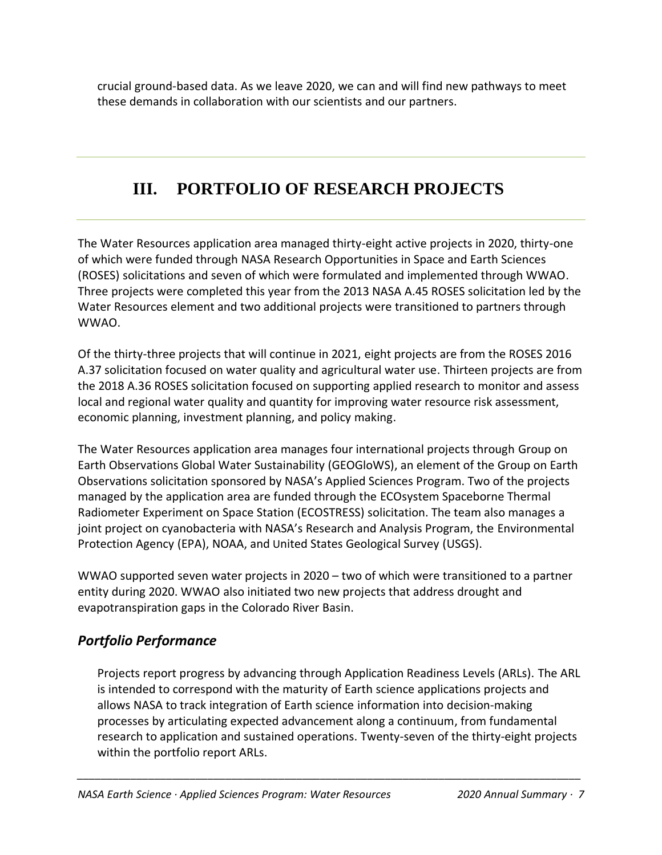crucial ground-based data. As we leave 2020, we can and will find new pathways to meet these demands in collaboration with our scientists and our partners.

### <span id="page-8-0"></span>**III. PORTFOLIO OF RESEARCH PROJECTS**

The Water Resources application area managed thirty-eight active projects in 2020, thirty-one of which were funded through NASA Research Opportunities in Space and Earth Sciences (ROSES) solicitations and seven of which were formulated and implemented through WWAO. Three projects were completed this year from the 2013 NASA A.45 ROSES solicitation led by the Water Resources element and two additional projects were transitioned to partners through WWAO.

Of the thirty-three projects that will continue in 2021, eight projects are from the ROSES 2016 A.37 solicitation focused on water quality and agricultural water use. Thirteen projects are from the 2018 A.36 ROSES solicitation focused on supporting applied research to monitor and assess local and regional water quality and quantity for improving water resource risk assessment, economic planning, investment planning, and policy making.

The Water Resources application area manages four international projects through Group on Earth Observations Global Water Sustainability (GEOGloWS), an element of the Group on Earth Observations solicitation sponsored by NASA's Applied Sciences Program. Two of the projects managed by the application area are funded through the ECOsystem Spaceborne Thermal Radiometer Experiment on Space Station (ECOSTRESS) solicitation. The team also manages a joint project on cyanobacteria with NASA's Research and Analysis Program, the Environmental Protection Agency (EPA), NOAA, and United States Geological Survey (USGS).

WWAO supported seven water projects in 2020 – two of which were transitioned to a partner entity during 2020. WWAO also initiated two new projects that address drought and evapotranspiration gaps in the Colorado River Basin.

#### *Portfolio Performance*

Projects report progress by advancing through Application Readiness Levels (ARLs). The ARL is intended to correspond with the maturity of Earth science applications projects and allows NASA to track integration of Earth science information into decision-making processes by articulating expected advancement along a continuum, from fundamental research to application and sustained operations. Twenty-seven of the thirty-eight projects within the portfolio report ARLs.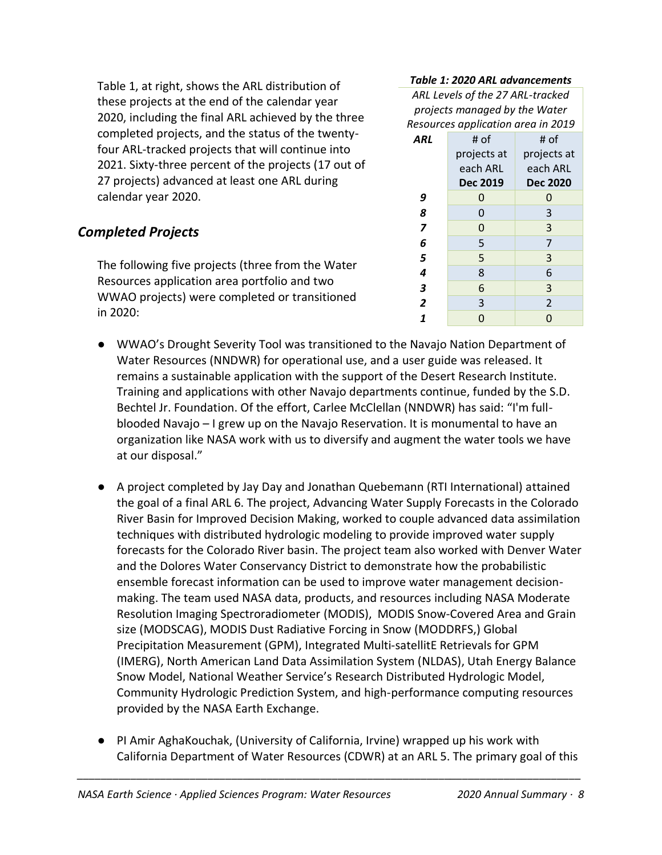Table 1, at right, shows the ARL distribution of these projects at the end of the calendar year 2020, including the final ARL achieved by the three completed projects, and the status of the twentyfour ARL-tracked projects that will continue into 2021. Sixty-three percent of the projects (17 out of 27 projects) advanced at least one ARL during calendar year 2020.

#### *Completed Projects*

The following five projects (three from the Water Resources application area portfolio and two WWAO projects) were completed or transitioned in 2020:

#### *Table 1: 2020 ARL advancements*

*ARL Levels of the 27 ARL-tracked projects managed by the Water Resources application area in 2019*

| ARL                     | # of            | # of            |
|-------------------------|-----------------|-----------------|
|                         | projects at     | projects at     |
|                         | each ARL        | each ARL        |
|                         | <b>Dec 2019</b> | <b>Dec 2020</b> |
| 9                       | 0               | 0               |
| 8                       | 0               | 3               |
| 7                       | 0               | 3               |
| 6                       | 5               | $\overline{7}$  |
| 5                       | 5               | 3               |
| 4                       | 8               | 6               |
| 3                       | 6               | 3               |
| $\overline{\mathbf{c}}$ | 3               | $\overline{2}$  |
| $\mathbf{1}$            | U               | n               |

- [WWAO's Drought Severity Tool](https://app.climateengine.org/dset) was transitioned to the Navajo Nation Department of Water Resources (NNDWR) for operational use, and a [user guide](https://wwao.jpl.nasa.gov/water-programs/water-projects/nasa-navajo-drought-severity-tool-user-guide/) was released. It remains a sustainable application with the support of the Desert Research Institute. Training and applications with other Navajo departments continue, funded by the S.D. Bechtel Jr. Foundation. Of the effort, Carlee McClellan (NNDWR) has said: "I'm fullblooded Navajo – I grew up on the Navajo Reservation. It is monumental to have an organization like NASA work with us to diversify and augment the water tools we have at our disposal."
- A project completed by Jay Day and Jonathan Quebemann (RTI International) attained the goal of a final ARL 6. The project, Advancing Water Supply Forecasts in the Colorado River Basin for Improved Decision Making, worked to couple advanced data assimilation techniques with distributed hydrologic modeling to provide improved water supply forecasts for the Colorado River basin. The project team also worked with Denver Water and the Dolores Water Conservancy District to demonstrate how the probabilistic ensemble forecast information can be used to improve water management decisionmaking. The team used NASA data, products, and resources including NASA Moderate Resolution Imaging Spectroradiometer (MODIS), MODIS Snow-Covered Area and Grain size (MODSCAG), MODIS Dust Radiative Forcing in Snow (MODDRFS,) Global Precipitation Measurement (GPM), Integrated Multi-satellitE Retrievals for GPM (IMERG), North American Land Data Assimilation System (NLDAS), Utah Energy Balance Snow Model, National Weather Service's Research Distributed Hydrologic Model, Community Hydrologic Prediction System, and high-performance computing resources provided by the NASA Earth Exchange.
- PI Amir AghaKouchak, (University of California, Irvine) wrapped up his work with California Department of Water Resources (CDWR) at an ARL 5. The primary goal of this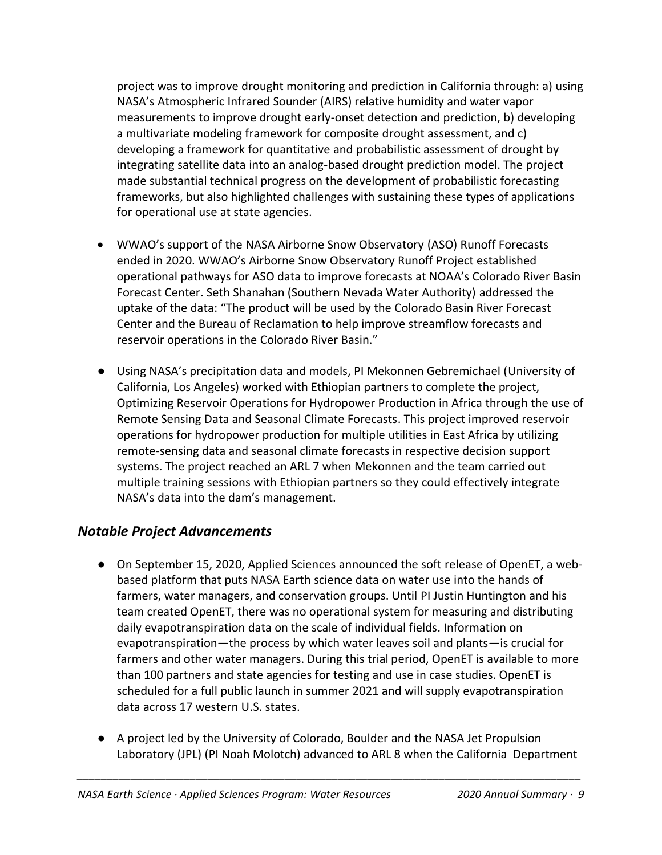project was to improve drought monitoring and prediction in California through: a) using NASA's Atmospheric Infrared Sounder (AIRS) relative humidity and water vapor measurements to improve drought early-onset detection and prediction, b) developing a multivariate modeling framework for composite drought assessment, and c) developing a framework for quantitative and probabilistic assessment of drought by integrating satellite data into an analog-based drought prediction model. The project made substantial technical progress on the development of probabilistic forecasting frameworks, but also highlighted challenges with sustaining these types of applications for operational use at state agencies.

- WWAO's support of the NASA Airborne Snow Observatory (ASO) Runoff Forecasts ended in 2020. WWAO's Airborne Snow Observatory Runoff Project established operational pathways for ASO data to improve forecasts at NOAA's Colorado River Basin Forecast Center. Seth Shanahan (Southern Nevada Water Authority) addressed the uptake of the data: "The product will be used by the Colorado Basin River Forecast Center and the Bureau of Reclamation to help improve streamflow forecasts and reservoir operations in the Colorado River Basin."
- Using NASA's precipitation data and models, PI Mekonnen Gebremichael (University of California, Los Angeles) worked with Ethiopian partners to complete the project, Optimizing Reservoir Operations for Hydropower Production in Africa through the use of Remote Sensing Data and Seasonal Climate Forecasts. This project improved reservoir operations for hydropower production for multiple utilities in East Africa by utilizing remote-sensing data and seasonal climate forecasts in respective decision support systems. The project reached an ARL 7 when Mekonnen and the team carried out multiple training sessions with Ethiopian partners so they could effectively integrate NASA's data into the dam's management.

#### *Notable Project Advancements*

- On September 15, 2020, Applied Sciences announced the soft [release of OpenET,](https://gcc02.safelinks.protection.outlook.com/?url=https%3A%2F%2Fwww.nasa.gov%2Ffeature%2Ftransforming-water-management-in-the-us-west-with-nasa-data&data=04%7C01%7Csarah.brennan%40nasa.gov%7C1994b017c8714e5cfd3208d88ffa38d5%7C7005d45845be48ae8140d43da96dd17b%7C0%7C0%7C637417661013831173%7CUnknown%7CTWFpbGZsb3d8eyJWIjoiMC4wLjAwMDAiLCJQIjoiV2luMzIiLCJBTiI6Ik1haWwiLCJXVCI6Mn0%3D%7C1000&sdata=drWQ%2Bro3Ba53dsDP%2Fgm%2BVWFL6rHVIQax08fmB3OjtL8%3D&reserved=0) a webbased platform that puts NASA Earth science data on water use into the hands of farmers, water managers, and conservation groups. Until PI Justin Huntington and his team created OpenET, there was no operational system for measuring and distributing daily evapotranspiration data on the scale of individual fields. Information on evapotranspiration—the process by which water leaves soil and plants—is crucial for farmers and other water managers. During this trial period, OpenET is available to more than 100 partners and state agencies for testing and use in case studies. OpenET is scheduled for a full public launch in summer 2021 and will supply evapotranspiration data across 17 western U.S. states.
- A project led by the University of Colorado, Boulder and the NASA Jet Propulsion Laboratory (JPL) (PI Noah Molotch) advanced to ARL 8 when the California Department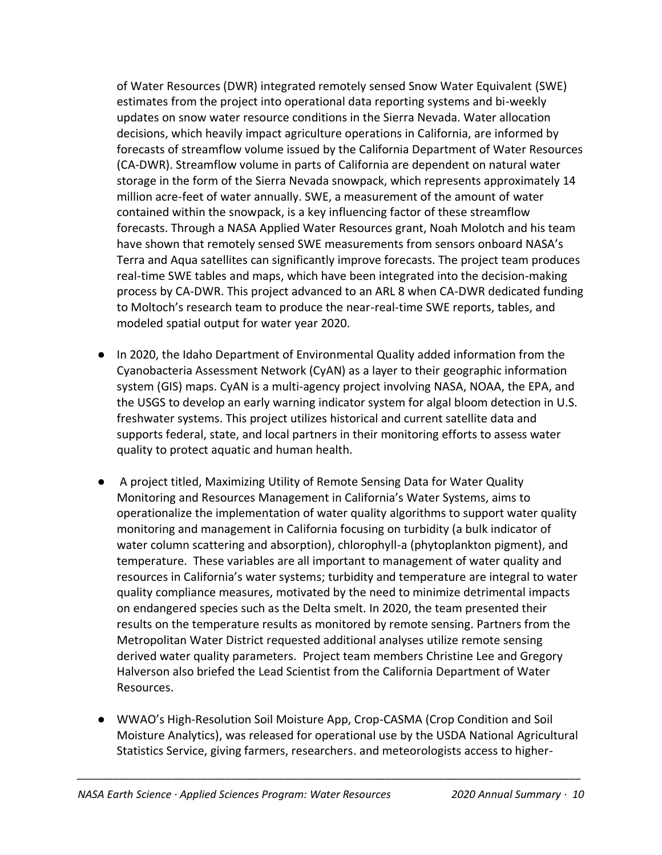of Water Resources (DWR) integrated remotely sensed Snow Water Equivalent (SWE) estimates from the project into operational data reporting systems and bi-weekly updates on snow water resource conditions in the Sierra Nevada. Water allocation decisions, which heavily impact agriculture operations in California, are informed by forecasts of streamflow volume issued by the California Department of Water Resources (CA-DWR). Streamflow volume in parts of California are dependent on natural water storage in the form of the Sierra Nevada snowpack, which represents approximately 14 million acre-feet of water annually. SWE, a measurement of the amount of water contained within the snowpack, is a key influencing factor of these streamflow forecasts. Through a NASA Applied Water Resources grant, Noah Molotch and his team have shown that remotely sensed SWE measurements from sensors onboard NASA's Terra and Aqua satellites can significantly improve forecasts. The project team produces real-time SWE tables and maps, which have been integrated into the decision-making process by CA-DWR. This project advanced to an ARL 8 when CA-DWR dedicated funding to Moltoch's research team to produce the near-real-time SWE reports, tables, and modeled spatial output for water year 2020.

- In 2020, the Idaho Department of Environmental Quality added information from the Cyanobacteria Assessment Network (CyAN) as a layer to their geographic information system (GIS) maps. CyAN is a multi-agency project involving NASA, NOAA, the EPA, and the USGS to develop an early warning indicator system for algal bloom detection in U.S. freshwater systems. This project utilizes historical and current satellite data and supports federal, state, and local partners in their monitoring efforts to assess water quality to protect aquatic and human health.
- A project titled, Maximizing Utility of Remote Sensing Data for Water Quality Monitoring and Resources Management in California's Water Systems, aims to operationalize the implementation of water quality algorithms to support water quality monitoring and management in California focusing on turbidity (a bulk indicator of water column scattering and absorption), chlorophyll-a (phytoplankton pigment), and temperature. These variables are all important to management of water quality and resources in California's water systems; turbidity and temperature are integral to water quality compliance measures, motivated by the need to minimize detrimental impacts on endangered species such as the Delta smelt. In 2020, the team presented their results on the temperature results as monitored by remote sensing. Partners from the Metropolitan Water District requested additional analyses utilize remote sensing derived water quality parameters. Project team members Christine Lee and Gregory Halverson also briefed the Lead Scientist from the California Department of Water Resources.
- WWAO's [High-Resolution Soil Moisture App, Crop-CASMA](https://cloud.csiss.gmu.edu/Crop-CASMA/) (Crop Condition and Soil Moisture Analytics), was released for operational use by the USDA National Agricultural Statistics Service, giving farmers, researchers. and meteorologists access to higher-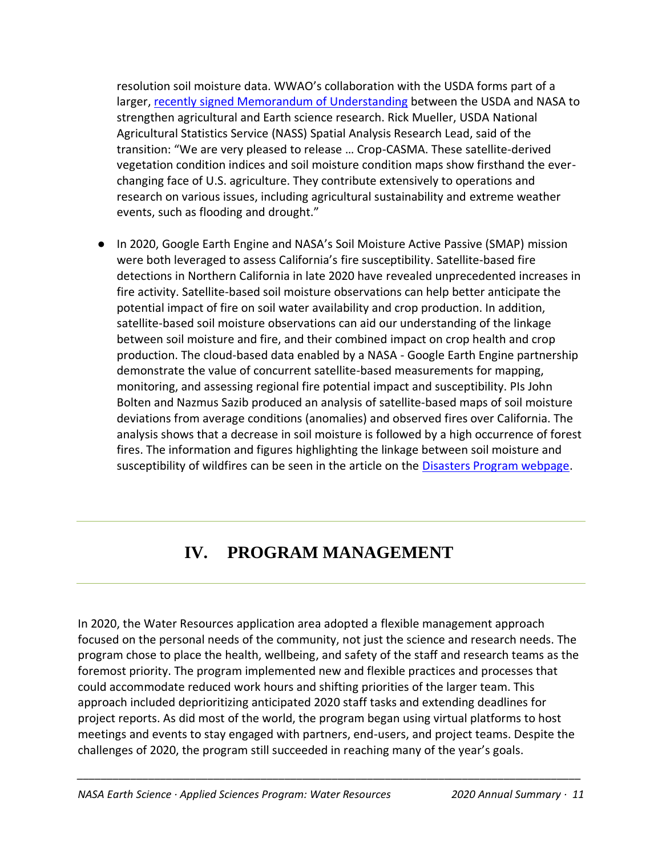resolution soil moisture data. WWAO's collaboration with the USDA forms part of a larger, recently [signed Memorandum of Understanding](https://www.nasa.gov/press-release/nasa-usda-sign-agreement-to-improve-agricultural-earth-science-research/) between the USDA and NASA to strengthen agricultural and Earth science research. Rick Mueller, USDA National Agricultural Statistics Service (NASS) Spatial Analysis Research Lead, said of the transition: "We are very pleased to release … Crop-CASMA. These satellite-derived vegetation condition indices and soil moisture condition maps show firsthand the everchanging face of U.S. agriculture. They contribute extensively to operations and research on various issues, including agricultural sustainability and extreme weather events, such as flooding and drought."

● In 2020, Google Earth Engine and NASA's Soil Moisture Active Passive (SMAP) mission were both leveraged to assess California's fire susceptibility. Satellite-based fire detections in Northern California in late 2020 have revealed unprecedented increases in fire activity. Satellite-based soil moisture observations can help better anticipate the potential impact of fire on soil water availability and crop production. In addition, satellite-based soil moisture observations can aid our understanding of the linkage between soil moisture and fire, and their combined impact on crop health and crop production. The cloud-based data enabled by a NASA - Google Earth Engine partnership demonstrate the value of concurrent satellite-based measurements for mapping, monitoring, and assessing regional fire potential impact and susceptibility. PIs John Bolten and Nazmus Sazib produced an analysis of satellite-based maps of soil moisture deviations from average conditions (anomalies) and observed fires over California. The analysis shows that a decrease in soil moisture is followed by a high occurrence of forest fires. The information and figures highlighting the linkage between soil moisture and susceptibility of wildfires can be seen in the article on the [Disasters Program webpage.](https://appliedsciences.nasa.gov/our-impact/news/nasa-tracks-link-between-soil-moisture-and-fire-susceptibility-california)

### **IV. PROGRAM MANAGEMENT**

<span id="page-12-0"></span>In 2020, the Water Resources application area adopted a flexible management approach focused on the personal needs of the community, not just the science and research needs. The program chose to place the health, wellbeing, and safety of the staff and research teams as the foremost priority. The program implemented new and flexible practices and processes that could accommodate reduced work hours and shifting priorities of the larger team. This approach included deprioritizing anticipated 2020 staff tasks and extending deadlines for project reports. As did most of the world, the program began using virtual platforms to host meetings and events to stay engaged with partners, end-users, and project teams. Despite the challenges of 2020, the program still succeeded in reaching many of the year's goals.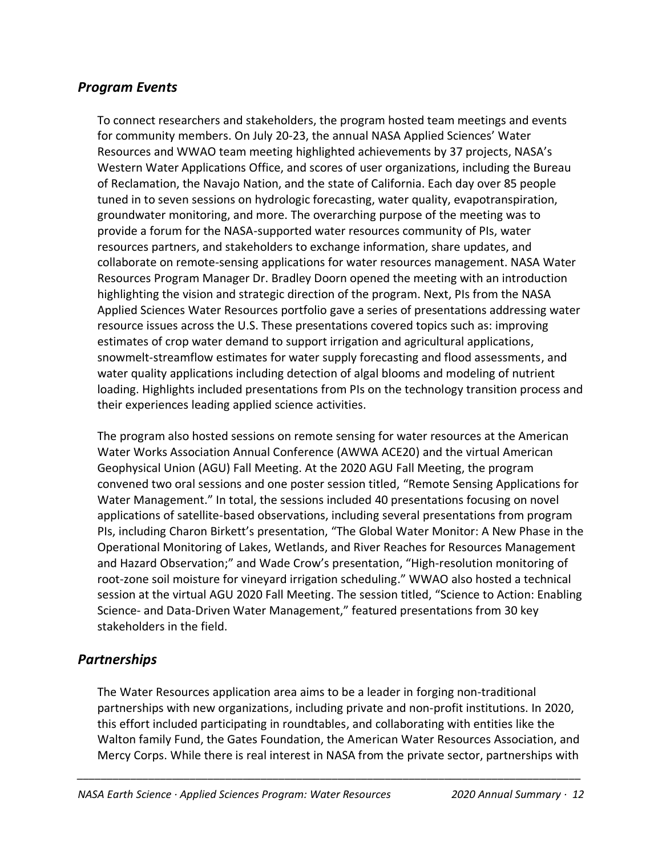#### *Program Events*

To connect researchers and stakeholders, the program hosted team meetings and events for community members. On July 20-23, the annual NASA Applied Sciences' Water Resources and WWAO team meeting highlighted achievements by 37 projects, NASA's Western Water Applications Office, and scores of user organizations, including the Bureau of Reclamation, the Navajo Nation, and the state of California. Each day over 85 people tuned in to seven sessions on hydrologic forecasting, water quality, evapotranspiration, groundwater monitoring, and more. The overarching purpose of the meeting was to provide a forum for the NASA-supported water resources community of PIs, water resources partners, and stakeholders to exchange information, share updates, and collaborate on remote-sensing applications for water resources management. NASA Water Resources Program Manager Dr. Bradley Doorn opened the meeting with an introduction highlighting the vision and strategic direction of the program. Next, PIs from the NASA Applied Sciences Water Resources portfolio gave a series of presentations addressing water resource issues across the U.S. These presentations covered topics such as: improving estimates of crop water demand to support irrigation and agricultural applications, snowmelt-streamflow estimates for water supply forecasting and flood assessments, and water quality applications including detection of algal blooms and modeling of nutrient loading. Highlights included presentations from PIs on the technology transition process and their experiences leading applied science activities.

The program also hosted sessions on remote sensing for water resources at the American Water Works Association Annual Conference (AWWA ACE20) and the virtual American Geophysical Union (AGU) Fall Meeting. At the 2020 AGU Fall Meeting, the program convened two oral sessions and one poster session titled, "Remote Sensing Applications for Water Management." In total, the sessions included 40 presentations focusing on novel applications of satellite-based observations, including several presentations from program PIs, including Charon Birkett's presentation, "The Global Water Monitor: A New Phase in the Operational Monitoring of Lakes, Wetlands, and River Reaches for Resources Management and Hazard Observation;" and Wade Crow's presentation, "High-resolution monitoring of root-zone soil moisture for vineyard irrigation scheduling." WWAO also hosted a technical session at the virtual AGU 2020 Fall Meeting. The session titled, "Science to Action: Enabling Science- and Data-Driven Water Management," featured presentations from 30 key stakeholders in the field.

#### *Partnerships*

The Water Resources application area aims to be a leader in forging non-traditional partnerships with new organizations, including private and non-profit institutions. In 2020, this effort included participating in roundtables, and collaborating with entities like the Walton family Fund, the Gates Foundation, the American Water Resources Association, and Mercy Corps. While there is real interest in NASA from the private sector, partnerships with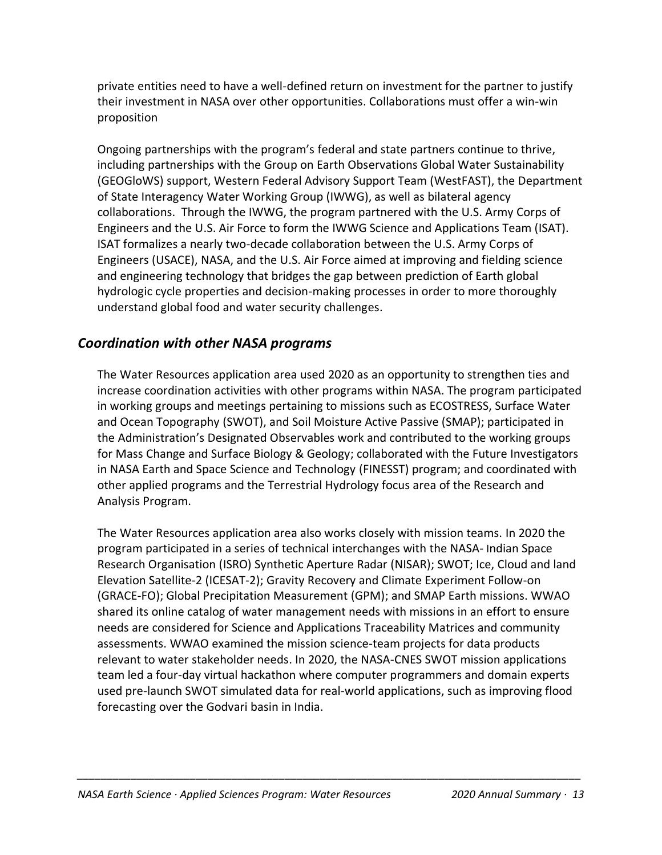private entities need to have a well-defined return on investment for the partner to justify their investment in NASA over other opportunities. Collaborations must offer a win-win proposition

Ongoing partnerships with the program's federal and state partners continue to thrive, including partnerships with the Group on Earth Observations Global Water Sustainability (GEOGloWS) support, Western Federal Advisory Support Team (WestFAST), the Department of State Interagency Water Working Group (IWWG), as well as bilateral agency collaborations. Through the IWWG, the program partnered with the U.S. Army Corps of Engineers and the U.S. Air Force to form the IWWG Science and Applications Team (ISAT). ISAT formalizes a nearly two-decade collaboration between the U.S. Army Corps of Engineers (USACE), NASA, and the U.S. Air Force aimed at improving and fielding science and engineering technology that bridges the gap between prediction of Earth global hydrologic cycle properties and decision-making processes in order to more thoroughly understand global food and water security challenges.

#### *Coordination with other NASA programs*

The Water Resources application area used 2020 as an opportunity to strengthen ties and increase coordination activities with other programs within NASA. The program participated in working groups and meetings pertaining to missions such as ECOSTRESS, Surface Water and Ocean Topography (SWOT), and Soil Moisture Active Passive (SMAP); participated in the Administration's Designated Observables work and contributed to the working groups for Mass Change and Surface Biology & Geology; collaborated with the Future Investigators in NASA Earth and Space Science and Technology (FINESST) program; and coordinated with other applied programs and the Terrestrial Hydrology focus area of the Research and Analysis Program.

The Water Resources application area also works closely with mission teams. In 2020 the program participated in a series of technical interchanges with the NASA- Indian Space Research Organisation (ISRO) Synthetic Aperture Radar (NISAR); SWOT; Ice, Cloud and land Elevation Satellite-2 (ICESAT-2); Gravity Recovery and Climate Experiment Follow-on (GRACE-FO); Global Precipitation Measurement (GPM); and SMAP Earth missions. WWAO shared its online catalog of water management needs with missions in an effort to ensure needs are considered for Science and Applications Traceability Matrices and community assessments. WWAO examined the mission science-team projects for data products relevant to water stakeholder needs. In 2020, the NASA-CNES SWOT mission applications team led a four-day virtual hackathon where computer programmers and domain experts used pre-launch SWOT simulated data for real-world applications, such as improving flood forecasting over the Godvari basin in India.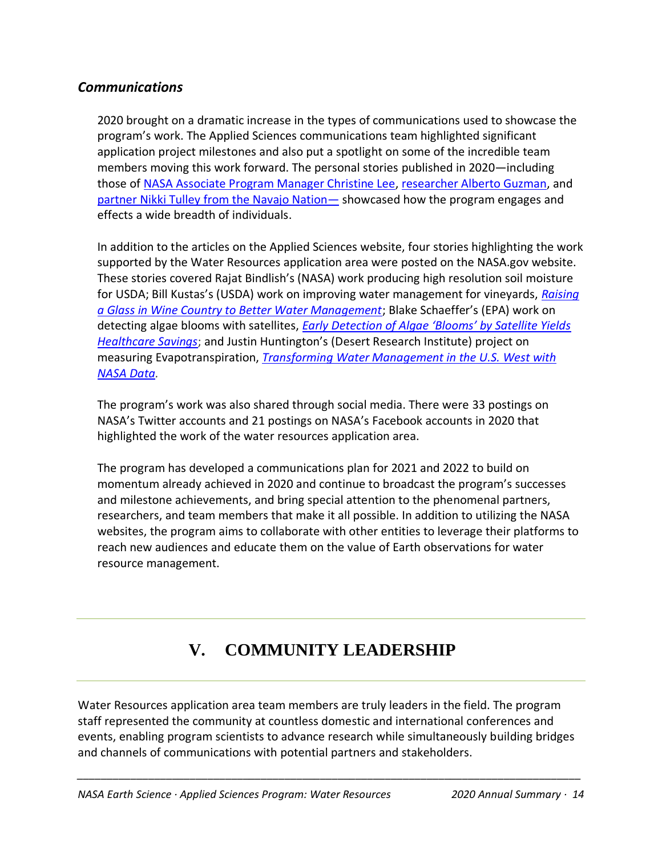#### *Communications*

2020 brought on a dramatic increase in the types of communications used to showcase the program's work. The Applied Sciences communications team highlighted significant application project milestones and also put a spotlight on some of the incredible team members moving this work forward. The personal stories published in 2020—including those of [NASA Associate Program Manager Christine Lee,](https://appliedsciences.nasa.gov/our-impact/people/finding-your-flow-christine-lee) [researcher Alberto Guzman,](https://appliedsciences.nasa.gov/our-impact/people/translation-evapotranspiration-alberto-guzman) and [partner Nikki Tulley from the Navajo Nation](https://appliedsciences.nasa.gov/our-impact/people/managing-navajo-nations-water-resources-nasa-data)— showcased how the program engages and effects a wide breadth of individuals.

In addition to the articles on the Applied Sciences website, four stories highlighting the work supported by the Water Resources application area were posted on the NASA.gov website. These stories covered Rajat Bindlish's (NASA) work producing high resolution soil moisture for USDA; Bill Kustas's (USDA) work on improving water management for vineyards, *[Raising](https://www.nasa.gov/feature/raising-a-glass-in-wine-country-to-better-water-management)  [a Glass in Wine Country to Better Water Management](https://www.nasa.gov/feature/raising-a-glass-in-wine-country-to-better-water-management)*; Blake Schaeffer's (EPA) work on detecting algae blooms with satellites, *[Early Detection of Algae 'Blooms' by Satellite Yields](https://www.nasa.gov/feature/early-detection-of-algae-blooms-by-satellite-yields-healthcare-savings)  [Healthcare Savings](https://www.nasa.gov/feature/early-detection-of-algae-blooms-by-satellite-yields-healthcare-savings)*; and Justin Huntington's (Desert Research Institute) project on measuring Evapotranspiration, *[Transforming Water Management in the U.S. West with](https://www.nasa.gov/feature/transforming-water-management-in-the-us-west-with-nasa-data)  [NASA Data.](https://www.nasa.gov/feature/transforming-water-management-in-the-us-west-with-nasa-data)*

The program's work was also shared through social media. There were 33 postings on NASA's Twitter accounts and 21 postings on NASA's Facebook accounts in 2020 that highlighted the work of the water resources application area.

The program has developed a communications plan for 2021 and 2022 to build on momentum already achieved in 2020 and continue to broadcast the program's successes and milestone achievements, and bring special attention to the phenomenal partners, researchers, and team members that make it all possible. In addition to utilizing the NASA websites, the program aims to collaborate with other entities to leverage their platforms to reach new audiences and educate them on the value of Earth observations for water resource management.

## **V. COMMUNITY LEADERSHIP**

<span id="page-15-0"></span>Water Resources application area team members are truly leaders in the field. The program staff represented the community at countless domestic and international conferences and events, enabling program scientists to advance research while simultaneously building bridges and channels of communications with potential partners and stakeholders.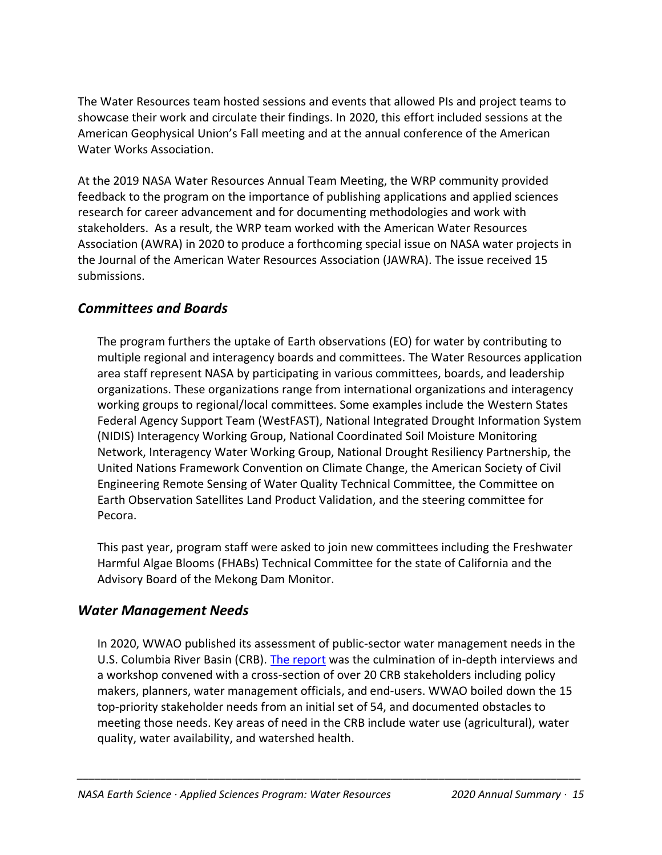The Water Resources team hosted sessions and events that allowed PIs and project teams to showcase their work and circulate their findings. In 2020, this effort included sessions at the American Geophysical Union's Fall meeting and at the annual conference of the American Water Works Association.

At the 2019 NASA Water Resources Annual Team Meeting, the WRP community provided feedback to the program on the importance of publishing applications and applied sciences research for career advancement and for documenting methodologies and work with stakeholders. As a result, the WRP team worked with the American Water Resources Association (AWRA) in 2020 to produce a forthcoming special issue on NASA water projects in the Journal of the American Water Resources Association (JAWRA). The issue received 15 submissions.

#### *Committees and Boards*

The program furthers the uptake of Earth observations (EO) for water by contributing to multiple regional and interagency boards and committees. The Water Resources application area staff represent NASA by participating in various committees, boards, and leadership organizations. These organizations range from international organizations and interagency working groups to regional/local committees. Some examples include the Western States Federal Agency Support Team (WestFAST), National Integrated Drought Information System (NIDIS) Interagency Working Group, National Coordinated Soil Moisture Monitoring Network, Interagency Water Working Group, National Drought Resiliency Partnership, the United Nations Framework Convention on Climate Change, the American Society of Civil Engineering Remote Sensing of Water Quality Technical Committee, the Committee on Earth Observation Satellites Land Product Validation, and the steering committee for Pecora.

This past year, program staff were asked to join new committees including the Freshwater Harmful Algae Blooms (FHABs) Technical Committee for the state of California and the Advisory Board of the Mekong Dam Monitor.

#### *Water Management Needs*

In 2020, WWAO published its assessment of public-sector water management needs in the U.S. Columbia River Basin (CRB)[. The report](https://wwao.jpl.nasa.gov/documents/10/Water_Needs_Assessment_Report_-_Columbia_River_Basin_-_2020.pdf) was the culmination of in-depth interviews and a workshop convened with a cross-section of over 20 CRB stakeholders including policy makers, planners, water management officials, and end-users. WWAO boiled down the 15 top-priority stakeholder needs from an initial set of 54, and documented obstacles to meeting those needs. Key areas of need in the CRB include water use (agricultural), water quality, water availability, and watershed health.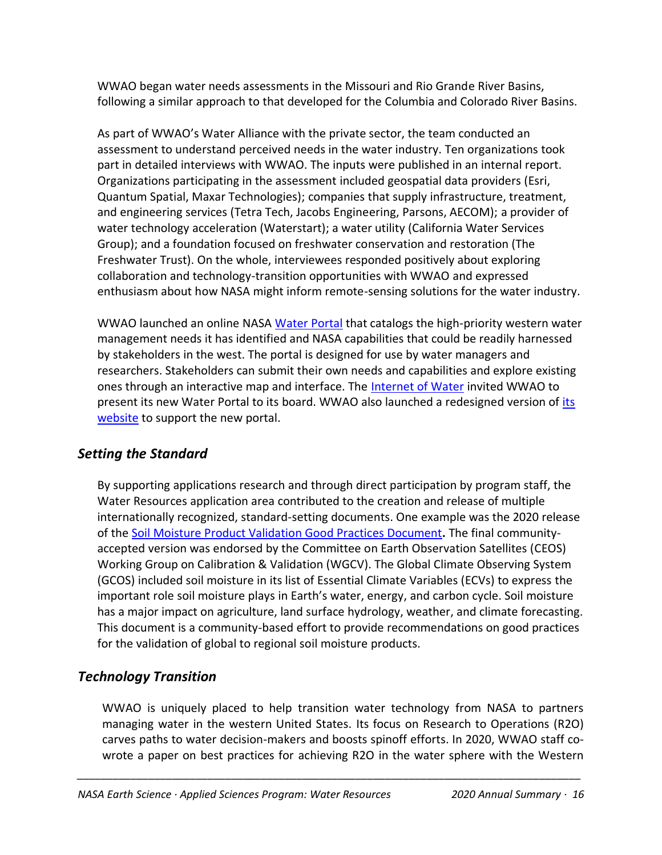WWAO began water needs assessments in the Missouri and Rio Grande River Basins, following a similar approach to that developed for the Columbia and Colorado River Basins.

As part of WWAO's Water Alliance with the private sector, the team conducted an assessment to understand perceived needs in the water industry. Ten organizations took part in detailed interviews with WWAO. The inputs were published in an internal report. Organizations participating in the assessment included geospatial data providers (Esri, Quantum Spatial, Maxar Technologies); companies that supply infrastructure, treatment, and engineering services (Tetra Tech, Jacobs Engineering, Parsons, AECOM); a provider of water technology acceleration (Waterstart); a water utility (California Water Services Group); and a foundation focused on freshwater conservation and restoration (The Freshwater Trust). On the whole, interviewees responded positively about exploring collaboration and technology-transition opportunities with WWAO and expressed enthusiasm about how NASA might inform remote-sensing solutions for the water industry.

WWAO launched an online NASA [Water Portal](https://wwao.jpl.nasa.gov/water-portal/) that catalogs the high-priority western water management needs it has identified and NASA capabilities that could be readily harnessed by stakeholders in the west. The portal is designed for use by water managers and researchers. Stakeholders can submit their own needs and capabilities and explore existing ones through an interactive map and interface. The [Internet of Water](https://internetofwater.org/) invited WWAO to present [its](https://wwao.jpl.nasa.gov/) new Water Portal to its board. WWAO also launched a redesigned version of its [website](https://wwao.jpl.nasa.gov/) to support the new portal.

#### *Setting the Standard*

By supporting applications research and through direct participation by program staff, the Water Resources application area contributed to the creation and release of multiple internationally recognized, standard-setting documents. One example was the 2020 release of the [Soil Moisture Product Validation Good Practices Document](https://lpvs.gsfc.nasa.gov/PDF/CEOS_SM_LPV_Protocol_V1_20201027_final.pdf)**.** The final communityaccepted version was endorsed by the Committee on Earth Observation Satellites (CEOS) Working Group on Calibration & Validation (WGCV). The Global Climate Observing System (GCOS) included soil moisture in its list of Essential Climate Variables (ECVs) to express the important role soil moisture plays in Earth's water, energy, and carbon cycle. Soil moisture has a major impact on agriculture, land surface hydrology, weather, and climate forecasting. This document is a community-based effort to provide recommendations on good practices for the validation of global to regional soil moisture products.

#### *Technology Transition*

WWAO is uniquely placed to help transition water technology from NASA to partners managing water in the western United States. Its focus on Research to Operations (R2O) carves paths to water decision-makers and boosts spinoff efforts. In 2020, WWAO staff cowrote a paper on best practices for achieving R2O in the water sphere with the Western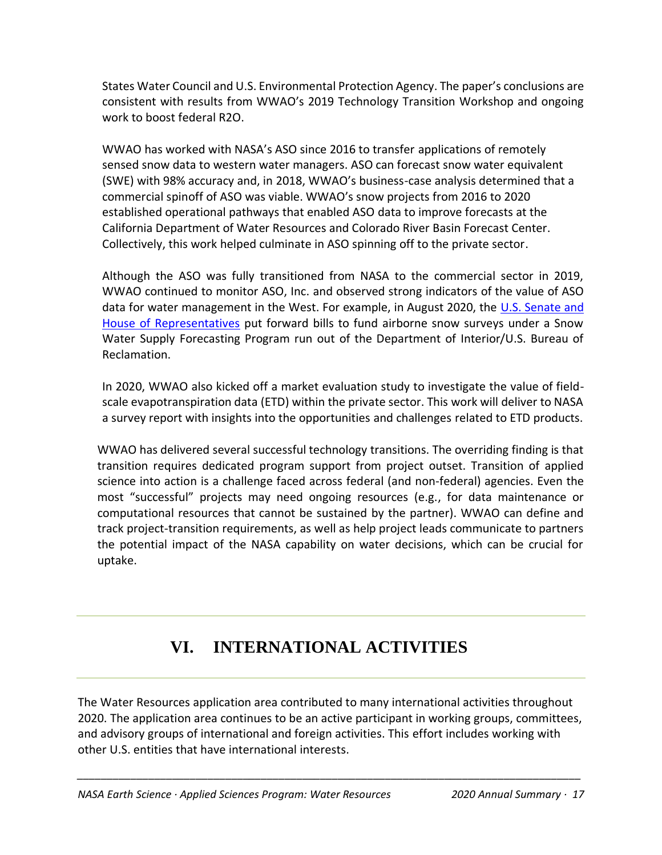States Water Council and U.S. Environmental Protection Agency. The paper's conclusions are consistent with results from WWAO's 2019 Technology Transition Workshop and ongoing work to boost federal R2O.

WWAO has worked with NASA's ASO since 2016 to transfer applications of remotely sensed snow data to western water managers. ASO can forecast snow water equivalent (SWE) with 98% accuracy and, in 2018, WWAO's business-case analysis determined that a commercial spinoff of ASO was viable. WWAO's snow projects from 2016 to 2020 established operational pathways that enabled ASO data to improve forecasts at the California Department of Water Resources and Colorado River Basin Forecast Center. Collectively, this work helped culminate in ASO spinning off to the private sector.

Although the ASO was fully transitioned from NASA to the commercial sector in 2019, WWAO continued to monitor ASO, Inc. and observed strong indicators of the value of ASO data for water management in the West. For example, in August 2020, the U.S. [Senate and](https://gcc02.safelinks.protection.outlook.com/?url=https%3A%2F%2Furldefense.us%2Fv3%2F__https%3A%2F%2Fgcc02.safelinks.protection.outlook.com%2F%3Furl%3Dhttps*3A*2F*2Fharder.house.gov*2Fmedia*2Fpress-releases*2Fharder-feinstein-introduce-bill-improve-water-management-airborne-snow%26data%3D04*7C01*7Cforrest.s.melton*40nasa.gov*7Cccce6428f3554718498808d8e598af53*7C7005d45845be48ae8140d43da96dd17b*7C0*7C0*7C637511791227577305*7CUnknown*7CTWFpbGZsb3d8eyJWIjoiMC4wLjAwMDAiLCJQIjoiV2luMzIiLCJBTiI6Ik1haWwiLCJXVCI6Mn0*3D*7C1000%26sdata%3DW237Yao*2Bm4ROXOnZezWA5NfXuPoD*2FutHLd7*2F7isDCjg*3D%26reserved%3D0__%3BJSUlJSUlJSUlJSUlJSUlJSUlJSUlJQ!!PvBDto6Hs4WbVuu7!Zae3VhkSnaMcGDtk8te9wWxAopWtw1R6ZuLrWUTkqFUfEJGB9kXFOgUf4HRxXIOeIUfu%24&data=04%7C01%7Csarah.brennan%40nasa.gov%7Cddf76dba9f964b9f287b08d8e5c0d803%7C7005d45845be48ae8140d43da96dd17b%7C0%7C0%7C637511963716496494%7CUnknown%7CTWFpbGZsb3d8eyJWIjoiMC4wLjAwMDAiLCJQIjoiV2luMzIiLCJBTiI6Ik1haWwiLCJXVCI6Mn0%3D%7C1000&sdata=cJCSLVr3zEoOnD3bVN7lW252hr5LFP4GO80EI%2B2mfUc%3D&reserved=0)  [House of Representatives](https://gcc02.safelinks.protection.outlook.com/?url=https%3A%2F%2Furldefense.us%2Fv3%2F__https%3A%2F%2Fgcc02.safelinks.protection.outlook.com%2F%3Furl%3Dhttps*3A*2F*2Fharder.house.gov*2Fmedia*2Fpress-releases*2Fharder-feinstein-introduce-bill-improve-water-management-airborne-snow%26data%3D04*7C01*7Cforrest.s.melton*40nasa.gov*7Cccce6428f3554718498808d8e598af53*7C7005d45845be48ae8140d43da96dd17b*7C0*7C0*7C637511791227577305*7CUnknown*7CTWFpbGZsb3d8eyJWIjoiMC4wLjAwMDAiLCJQIjoiV2luMzIiLCJBTiI6Ik1haWwiLCJXVCI6Mn0*3D*7C1000%26sdata%3DW237Yao*2Bm4ROXOnZezWA5NfXuPoD*2FutHLd7*2F7isDCjg*3D%26reserved%3D0__%3BJSUlJSUlJSUlJSUlJSUlJSUlJSUlJQ!!PvBDto6Hs4WbVuu7!Zae3VhkSnaMcGDtk8te9wWxAopWtw1R6ZuLrWUTkqFUfEJGB9kXFOgUf4HRxXIOeIUfu%24&data=04%7C01%7Csarah.brennan%40nasa.gov%7Cddf76dba9f964b9f287b08d8e5c0d803%7C7005d45845be48ae8140d43da96dd17b%7C0%7C0%7C637511963716496494%7CUnknown%7CTWFpbGZsb3d8eyJWIjoiMC4wLjAwMDAiLCJQIjoiV2luMzIiLCJBTiI6Ik1haWwiLCJXVCI6Mn0%3D%7C1000&sdata=cJCSLVr3zEoOnD3bVN7lW252hr5LFP4GO80EI%2B2mfUc%3D&reserved=0) put forward bills to fund airborne snow surveys under a Snow Water Supply Forecasting Program run out of the Department of Interior/U.S. Bureau of Reclamation.

In 2020, WWAO also kicked off a market evaluation study to investigate the value of fieldscale evapotranspiration data (ETD) within the private sector. This work will deliver to NASA a survey report with insights into the opportunities and challenges related to ETD products.

WWAO has delivered several successful technology transitions. The overriding finding is that transition requires dedicated program support from project outset. Transition of applied science into action is a challenge faced across federal (and non-federal) agencies. Even the most "successful" projects may need ongoing resources (e.g., for data maintenance or computational resources that cannot be sustained by the partner). WWAO can define and track project-transition requirements, as well as help project leads communicate to partners the potential impact of the NASA capability on water decisions, which can be crucial for uptake.

## **VI. INTERNATIONAL ACTIVITIES**

<span id="page-18-0"></span>The Water Resources application area contributed to many international activities throughout 2020. The application area continues to be an active participant in working groups, committees, and advisory groups of international and foreign activities. This effort includes working with other U.S. entities that have international interests.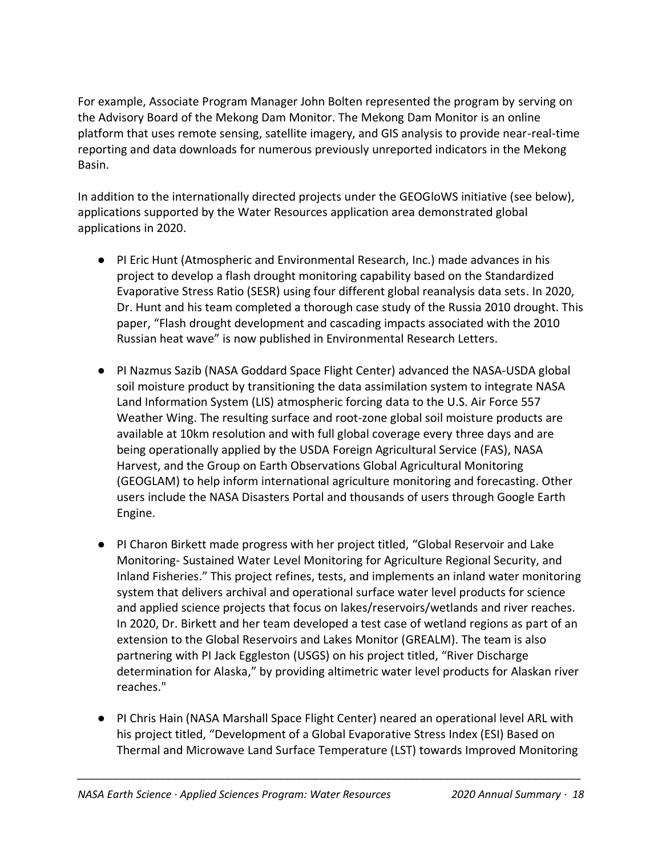For example, Associate Program Manager John Bolten represented the program by serving on the Advisory Board of the Mekong Dam Monitor. The Mekong Dam Monitor is an online platform that uses remote sensing, satellite imagery, and GIS analysis to provide near-real-time reporting and data downloads for numerous previously unreported indicators in the Mekong Basin.

In addition to the internationally directed projects under the GEOGloWS initiative (see below), applications supported by the Water Resources application area demonstrated global applications in 2020.

- PI Eric Hunt (Atmospheric and Environmental Research, Inc.) made advances in his project to develop a flash drought monitoring capability based on the Standardized Evaporative Stress Ratio (SESR) using four different global reanalysis data sets. In 2020, Dr. Hunt and his team completed a thorough case study of the Russia 2010 drought. This paper, "Flash drought development and cascading impacts associated with the 2010 Russian heat wave" is now published in Environmental Research Letters.
- PI Nazmus Sazib (NASA Goddard Space Flight Center) advanced the NASA-USDA global soil moisture product by transitioning the data assimilation system to integrate NASA Land Information System (LIS) atmospheric forcing data to the U.S. Air Force 557 Weather Wing. The resulting surface and root-zone global soil moisture products are available at 10km resolution and with full global coverage every three days and are being operationally applied by the USDA Foreign Agricultural Service (FAS), NASA Harvest, and the Group on Earth Observations Global Agricultural Monitoring (GEOGLAM) to help inform international agriculture monitoring and forecasting. Other users include the NASA Disasters Portal and thousands of users through Google Earth Engine.
- PI Charon Birkett made progress with her project titled, "Global Reservoir and Lake Monitoring- Sustained Water Level Monitoring for Agriculture Regional Security, and Inland Fisheries." This project refines, tests, and implements an inland water monitoring system that delivers archival and operational surface water level products for science and applied science projects that focus on lakes/reservoirs/wetlands and river reaches. In 2020, Dr. Birkett and her team developed a test case of wetland regions as part of an extension to the Global Reservoirs and Lakes Monitor (GREALM). The team is also partnering with PI Jack Eggleston (USGS) on his project titled, "River Discharge determination for Alaska," by providing altimetric water level products for Alaskan river reaches."
- PI Chris Hain (NASA Marshall Space Flight Center) neared an operational level ARL with his project titled, "Development of a Global Evaporative Stress Index (ESI) Based on Thermal and Microwave Land Surface Temperature (LST) towards Improved Monitoring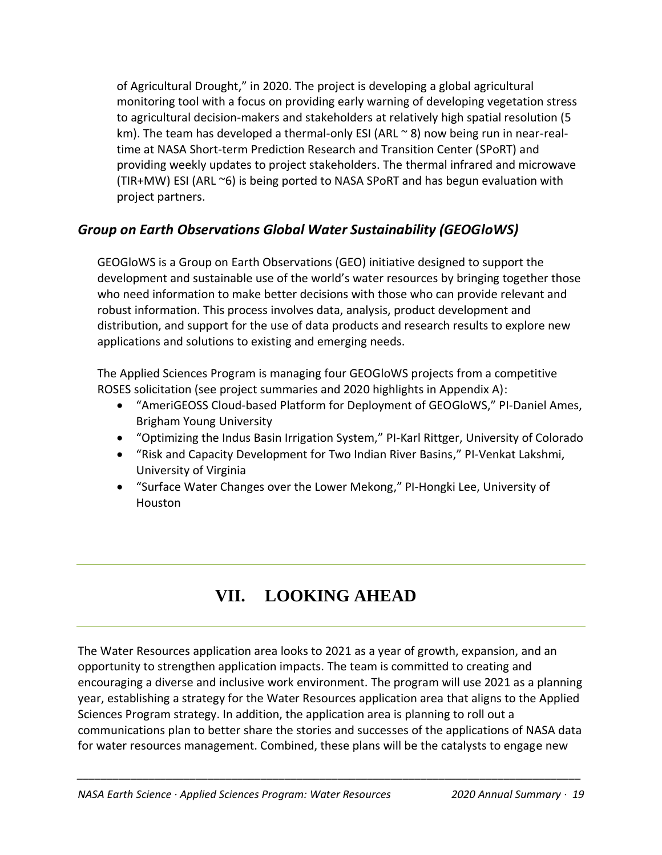of Agricultural Drought," in 2020. The project is developing a global agricultural monitoring tool with a focus on providing early warning of developing vegetation stress to agricultural decision-makers and stakeholders at relatively high spatial resolution (5 km). The team has developed a thermal-only ESI (ARL  $\sim$  8) now being run in near-realtime at NASA Short-term Prediction Research and Transition Center (SPoRT) and providing weekly updates to project stakeholders. The thermal infrared and microwave (TIR+MW) ESI (ARL ~6) is being ported to NASA SPoRT and has begun evaluation with project partners.

### *Group on Earth Observations Global Water Sustainability (GEOGloWS)*

GEOGloWS is a Group on Earth Observations (GEO) initiative designed to support the development and sustainable use of the world's water resources by bringing together those who need information to make better decisions with those who can provide relevant and robust information. This process involves data, analysis, product development and distribution, and support for the use of data products and research results to explore new applications and solutions to existing and emerging needs.

The Applied Sciences Program is managing four GEOGloWS projects from a competitive ROSES solicitation (see project summaries and 2020 highlights in Appendix A):

- "AmeriGEOSS Cloud-based Platform for Deployment of GEOGloWS," PI-Daniel Ames, Brigham Young University
- "Optimizing the Indus Basin Irrigation System," PI-Karl Rittger, University of Colorado
- "Risk and Capacity Development for Two Indian River Basins," PI-Venkat Lakshmi, University of Virginia
- "Surface Water Changes over the Lower Mekong," PI-Hongki Lee, University of Houston

## **VII. LOOKING AHEAD**

<span id="page-20-0"></span>The Water Resources application area looks to 2021 as a year of growth, expansion, and an opportunity to strengthen application impacts. The team is committed to creating and encouraging a diverse and inclusive work environment. The program will use 2021 as a planning year, establishing a strategy for the Water Resources application area that aligns to the Applied Sciences Program strategy. In addition, the application area is planning to roll out a communications plan to better share the stories and successes of the applications of NASA data for water resources management. Combined, these plans will be the catalysts to engage new